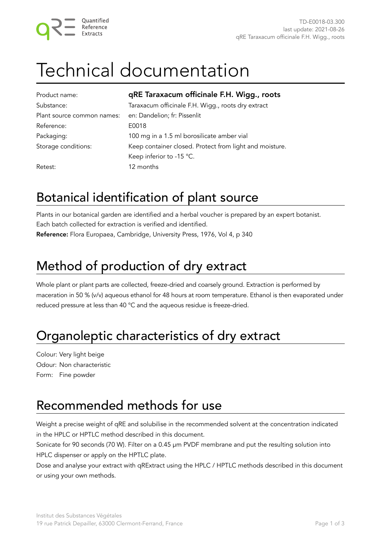## Technical documentation

| Product name:              | qRE Taraxacum officinale F.H. Wigg., roots              |
|----------------------------|---------------------------------------------------------|
| Substance:                 | Taraxacum officinale F.H. Wigg., roots dry extract      |
| Plant source common names: | en: Dandelion; fr: Pissenlit                            |
| Reference:                 | E0018                                                   |
| Packaging:                 | 100 mg in a 1.5 ml borosilicate amber vial              |
| Storage conditions:        | Keep container closed. Protect from light and moisture. |
|                            | Keep inferior to -15 °C.                                |
| Retest:                    | 12 months                                               |

#### Botanical identification of plant source

Plants in our botanical garden are identified and a herbal voucher is prepared by an expert botanist. Each batch collected for extraction is verified and identified. Reference: Flora Europaea, Cambridge, University Press, 1976, Vol 4, p 340

#### Method of production of dry extract

Whole plant or plant parts are collected, freeze-dried and coarsely ground. Extraction is performed by maceration in 50 % (v/v) aqueous ethanol for 48 hours at room temperature. Ethanol is then evaporated under reduced pressure at less than 40 °C and the aqueous residue is freeze-dried.

#### Organoleptic characteristics of dry extract

Colour: Very light beige Odour: Non characteristic Form: Fine powder

#### Recommended methods for use

Weight a precise weight of qRE and solubilise in the recommended solvent at the concentration indicated in the HPLC or HPTLC method described in this document.

Sonicate for 90 seconds (70 W). Filter on a 0.45 µm PVDF membrane and put the resulting solution into HPLC dispenser or apply on the HPTLC plate.

Dose and analyse your extract with qRExtract using the HPLC / HPTLC methods described in this document or using your own methods.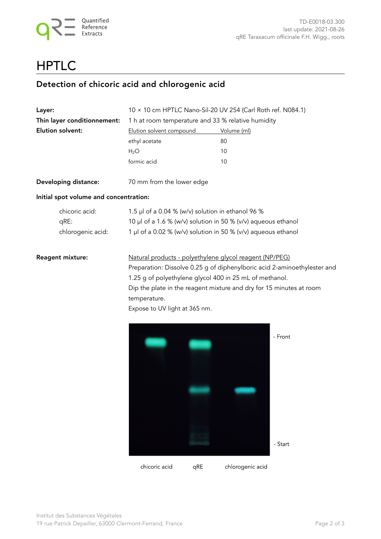#### **HPTLC**

#### Detection of chicoric acid and chlorogenic acid

| <b>Layer:</b>                          | $10 \times 10$ cm HPTLC Nano-Sil-20 UV 254 (Carl Roth ref. N084.1)                                                                                                                                                                                                                                                     |                    |  |  |  |
|----------------------------------------|------------------------------------------------------------------------------------------------------------------------------------------------------------------------------------------------------------------------------------------------------------------------------------------------------------------------|--------------------|--|--|--|
| Thin layer conditionnement:            | 1 h at room temperature and 33 % relative humidity                                                                                                                                                                                                                                                                     |                    |  |  |  |
| Elution solvent:                       | Elution solvent compound                                                                                                                                                                                                                                                                                               | Volume (ml)        |  |  |  |
|                                        | ethyl acetate                                                                                                                                                                                                                                                                                                          | 80                 |  |  |  |
|                                        | H <sub>2</sub> O                                                                                                                                                                                                                                                                                                       | 10                 |  |  |  |
|                                        | formic acid                                                                                                                                                                                                                                                                                                            | 10                 |  |  |  |
| Developing distance:                   | 70 mm from the lower edge                                                                                                                                                                                                                                                                                              |                    |  |  |  |
| Initial spot volume and concentration: |                                                                                                                                                                                                                                                                                                                        |                    |  |  |  |
| chicoric acid:                         | 1.5 µl of a 0.04 % (w/v) solution in ethanol 96 %                                                                                                                                                                                                                                                                      |                    |  |  |  |
| qRE:                                   | 10 µl of a 1.6 % (w/v) solution in 50 % (v/v) aqueous ethanol                                                                                                                                                                                                                                                          |                    |  |  |  |
| chlorogenic acid:                      | 1 µl of a 0.02 % (w/v) solution in 50 % (v/v) aqueous ethanol                                                                                                                                                                                                                                                          |                    |  |  |  |
| <b>Reagent mixture:</b>                | Natural products - polyethylene glycol reagent (NP/PEG)<br>Preparation: Dissolve 0.25 g of diphenylboric acid 2-aminoethylester and<br>1.25 g of polyethylene glycol 400 in 25 mL of methanol.<br>Dip the plate in the reagent mixture and dry for 15 minutes at room<br>temperature.<br>Expose to UV light at 365 nm. |                    |  |  |  |
|                                        |                                                                                                                                                                                                                                                                                                                        | - Front<br>- Start |  |  |  |
|                                        |                                                                                                                                                                                                                                                                                                                        |                    |  |  |  |

chicoric acid qRE chlorogenic acid